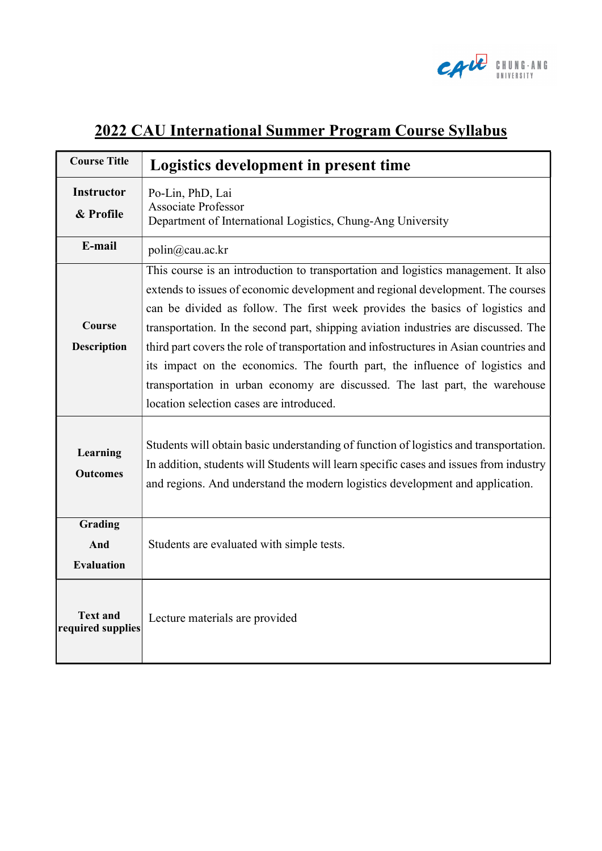

## 2022 CAU International Summer Program Course Syllabus

| <b>Course Title</b>                  | Logistics development in present time                                                                                                                                                                                                                                                                                                                                                                                                                                                                                                                                                                                                              |  |  |  |
|--------------------------------------|----------------------------------------------------------------------------------------------------------------------------------------------------------------------------------------------------------------------------------------------------------------------------------------------------------------------------------------------------------------------------------------------------------------------------------------------------------------------------------------------------------------------------------------------------------------------------------------------------------------------------------------------------|--|--|--|
| <b>Instructor</b><br>& Profile       | Po-Lin, PhD, Lai<br><b>Associate Professor</b><br>Department of International Logistics, Chung-Ang University                                                                                                                                                                                                                                                                                                                                                                                                                                                                                                                                      |  |  |  |
| E-mail                               | polin@cau.ac.kr                                                                                                                                                                                                                                                                                                                                                                                                                                                                                                                                                                                                                                    |  |  |  |
| Course<br><b>Description</b>         | This course is an introduction to transportation and logistics management. It also<br>extends to issues of economic development and regional development. The courses<br>can be divided as follow. The first week provides the basics of logistics and<br>transportation. In the second part, shipping aviation industries are discussed. The<br>third part covers the role of transportation and infostructures in Asian countries and<br>its impact on the economics. The fourth part, the influence of logistics and<br>transportation in urban economy are discussed. The last part, the warehouse<br>location selection cases are introduced. |  |  |  |
| Learning<br><b>Outcomes</b>          | Students will obtain basic understanding of function of logistics and transportation.<br>In addition, students will Students will learn specific cases and issues from industry<br>and regions. And understand the modern logistics development and application.                                                                                                                                                                                                                                                                                                                                                                                   |  |  |  |
| Grading<br>And<br><b>Evaluation</b>  | Students are evaluated with simple tests.                                                                                                                                                                                                                                                                                                                                                                                                                                                                                                                                                                                                          |  |  |  |
| <b>Text and</b><br>required supplies | Lecture materials are provided                                                                                                                                                                                                                                                                                                                                                                                                                                                                                                                                                                                                                     |  |  |  |